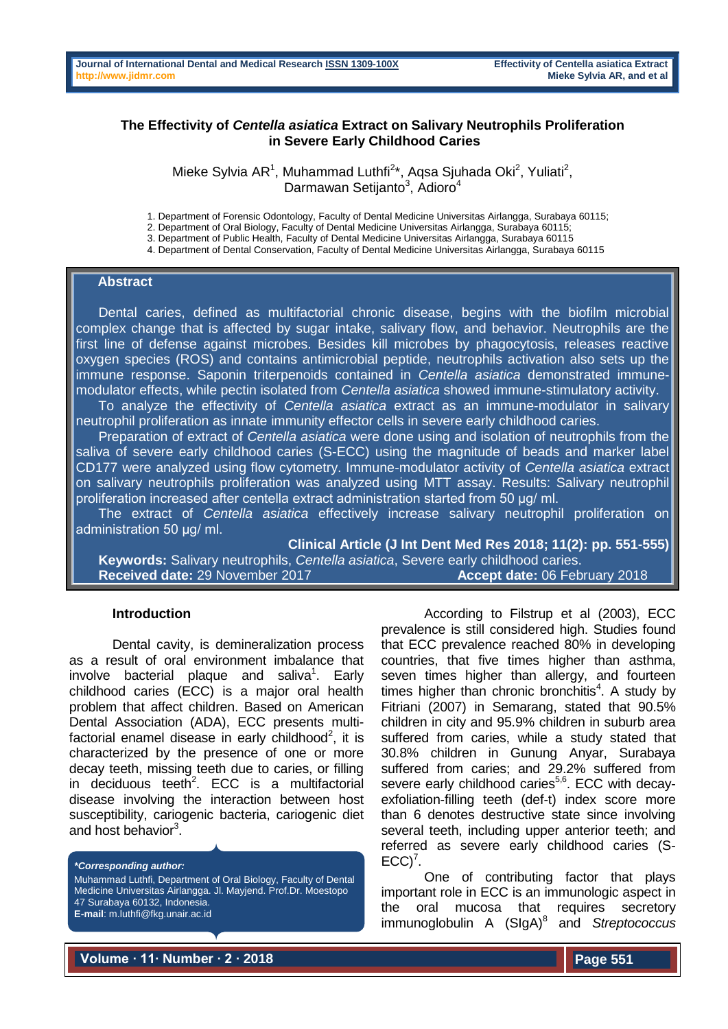## **The Effectivity of** *Centella asiatica* **Extract on Salivary Neutrophils Proliferation in Severe Early Childhood Caries**

Mieke Sylvia AR<sup>1</sup>, Muhammad Luthfi<sup>2\*</sup>, Aqsa Sjuhada Oki<sup>2</sup>, Yuliati<sup>2</sup>, Darmawan Setijanto<sup>3</sup>, Adioro<sup>4</sup>

1. Department of Forensic Odontology, Faculty of Dental Medicine Universitas Airlangga, Surabaya 60115;

2. Department of Oral Biology, Faculty of Dental Medicine Universitas Airlangga, Surabaya 60115;

3. Department of Public Health, Faculty of Dental Medicine Universitas Airlangga, Surabaya 60115

4. Department of Dental Conservation, Faculty of Dental Medicine Universitas Airlangga, Surabaya 60115

### **Abstract**

 Dental caries, defined as multifactorial chronic disease, begins with the biofilm microbial complex change that is affected by sugar intake, salivary flow, and behavior. Neutrophils are the first line of defense against microbes. Besides kill microbes by phagocytosis, releases reactive oxygen species (ROS) and contains antimicrobial peptide, neutrophils activation also sets up the immune response. Saponin triterpenoids contained in *Centella asiatica* demonstrated immunemodulator effects, while pectin isolated from *Centella asiatica* showed immune-stimulatory activity.

 To analyze the effectivity of *Centella asiatica* extract as an immune-modulator in salivary neutrophil proliferation as innate immunity effector cells in severe early childhood caries.

 Preparation of extract of *Centella asiatica* were done using and isolation of neutrophils from the saliva of severe early childhood caries (S-ECC) using the magnitude of beads and marker label CD177 were analyzed using flow cytometry. Immune-modulator activity of *Centella asiatica* extract on salivary neutrophils proliferation was analyzed using MTT assay. Results: Salivary neutrophil proliferation increased after centella extract administration started from 50 µg/ ml.

 The extract of *Centella asiatica* effectively increase salivary neutrophil proliferation on administration 50 µg/ ml.

**Clinical Article (J Int Dent Med Res 2018; 11(2): pp. 551-555)** 

 **Keywords:** Salivary neutrophils, *Centella asiatica*, Severe early childhood caries. **Received date:** 29 November 2017 **Accept date:** 06 February 2018

#### **Introduction**

Dental cavity, is demineralization process as a result of oral environment imbalance that involve bacterial plaque and saliva<sup>1</sup>. Early childhood caries (ECC) is a major oral health problem that affect children. Based on American Dental Association (ADA), ECC presents multifactorial enamel disease in early childhood<sup>2</sup>, it is characterized by the presence of one or more decay teeth, missing teeth due to caries, or filling in deciduous teeth<sup>2</sup>. ECC is a multifactorial disease involving the interaction between host susceptibility, cariogenic bacteria, cariogenic diet and host behavior<sup>3</sup>.

*\*Corresponding author:* Muhammad Luthfi, Department of Oral Biology, Faculty of Dental Medicine Universitas Airlangga. Jl. Mayjend. Prof.Dr. Moestopo 47 Surabaya 60132, Indonesia. **E-mail**: m.luthfi@fkg.unair.ac.id

According to Filstrup et al (2003), ECC prevalence is still considered high. Studies found that ECC prevalence reached 80% in developing countries, that five times higher than asthma, seven times higher than allergy, and fourteen times higher than chronic bronchitis<sup>4</sup>. A study by Fitriani (2007) in Semarang, stated that 90.5% children in city and 95.9% children in suburb area suffered from caries, while a study stated that 30.8% children in Gunung Anyar, Surabaya suffered from caries; and 29.2% suffered from severe early childhood caries<sup>5,6</sup>. ECC with decayexfoliation-filling teeth (def-t) index score more than 6 denotes destructive state since involving several teeth, including upper anterior teeth; and referred as severe early childhood caries (S- $ECC$ <sup>7</sup>.

One of contributing factor that plays important role in ECC is an immunologic aspect in the oral mucosa that requires secretory immunoglobulin A (SIgA)<sup>8</sup> and *Streptococcus* 

**Volume ∙ 11∙ Number ∙ 2 ∙ 2018**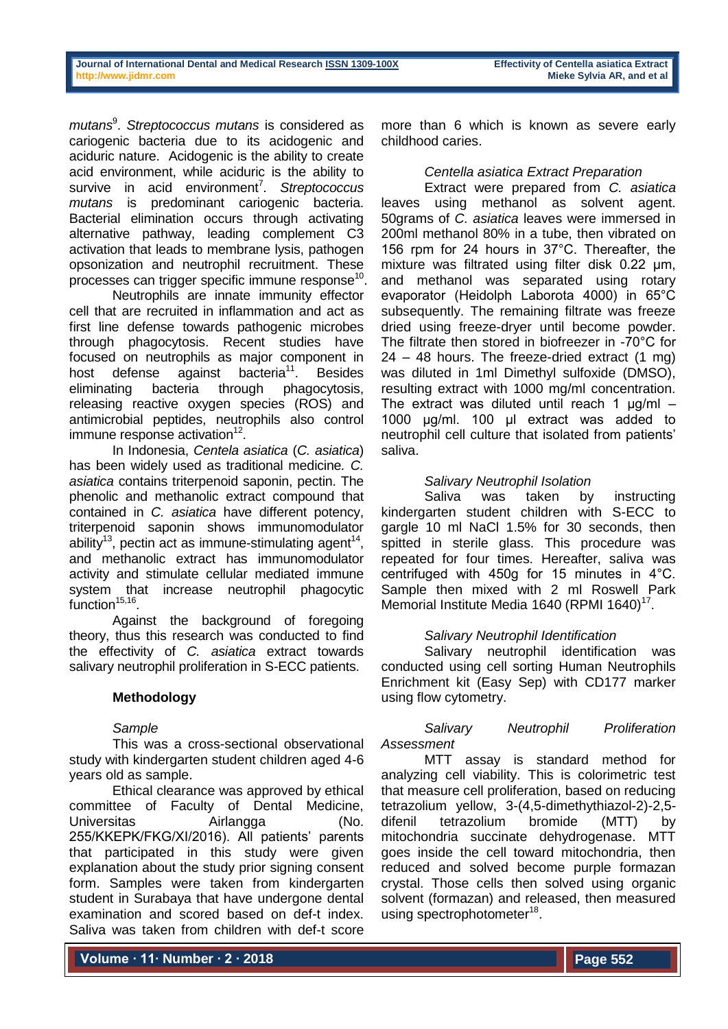*mutans*<sup>9</sup> . *Streptococcus mutans* is considered as cariogenic bacteria due to its acidogenic and aciduric nature. Acidogenic is the ability to create acid environment, while aciduric is the ability to survive in acid environment<sup>7</sup>. Streptococcus *mutans* is predominant cariogenic bacteria. Bacterial elimination occurs through activating alternative pathway, leading complement C3 activation that leads to membrane lysis, pathogen opsonization and neutrophil recruitment. These processes can trigger specific immune response $^{10}$ .

Neutrophils are innate immunity effector cell that are recruited in inflammation and act as first line defense towards pathogenic microbes through phagocytosis. Recent studies have focused on neutrophils as major component in host defense against bacteria<sup>11</sup>. Besides eliminating bacteria through phagocytosis, releasing reactive oxygen species (ROS) and antimicrobial peptides, neutrophils also control immune response activation $12$ .

In Indonesia, *Centela asiatica* (*C. asiatica*) has been widely used as traditional medicine*. C. asiatica* contains triterpenoid saponin, pectin. The phenolic and methanolic extract compound that contained in *C. asiatica* have different potency, triterpenoid saponin shows immunomodulator ability<sup>13</sup>, pectin act as immune-stimulating agent<sup>14</sup>, and methanolic extract has immunomodulator activity and stimulate cellular mediated immune system that increase neutrophil phagocytic  $function<sup>15,16</sup>$ .

Against the background of foregoing theory, thus this research was conducted to find the effectivity of *C. asiatica* extract towards salivary neutrophil proliferation in S-ECC patients.

# **Methodology**

## *Sample*

This was a cross-sectional observational study with kindergarten student children aged 4-6 years old as sample.

Ethical clearance was approved by ethical committee of Faculty of Dental Medicine, Universitas Airlangga (No. 255/KKEPK/FKG/XI/2016). All patients' parents that participated in this study were given explanation about the study prior signing consent form. Samples were taken from kindergarten student in Surabaya that have undergone dental examination and scored based on def-t index. Saliva was taken from children with def-t score

more than 6 which is known as severe early childhood caries.

# *Centella asiatica Extract Preparation*

Extract were prepared from *C. asiatica* leaves using methanol as solvent agent. 50grams of *C. asiatica* leaves were immersed in 200ml methanol 80% in a tube, then vibrated on 156 rpm for 24 hours in 37°C. Thereafter, the mixture was filtrated using filter disk 0.22 µm, and methanol was separated using rotary evaporator (Heidolph Laborota 4000) in 65°C subsequently. The remaining filtrate was freeze dried using freeze-dryer until become powder. The filtrate then stored in biofreezer in -70°C for 24 – 48 hours. The freeze-dried extract (1 mg) was diluted in 1ml Dimethyl sulfoxide (DMSO), resulting extract with 1000 mg/ml concentration. The extract was diluted until reach 1  $\mu$ g/ml – 1000 μg/ml. 100 μl extract was added to neutrophil cell culture that isolated from patients' saliva.

# *Salivary Neutrophil Isolation*

Saliva was taken by instructing kindergarten student children with S-ECC to gargle 10 ml NaCl 1.5% for 30 seconds, then spitted in sterile glass. This procedure was repeated for four times. Hereafter, saliva was centrifuged with 450g for 15 minutes in 4°C. Sample then mixed with 2 ml Roswell Park Memorial Institute Media 1640 (RPMI 1640)<sup>17</sup>.

## *Salivary Neutrophil Identification*

Salivary neutrophil identification was conducted using cell sorting Human Neutrophils Enrichment kit (Easy Sep) with CD177 marker using flow cytometry.

# *Salivary Neutrophil Proliferation Assessment*

MTT assay is standard method for analyzing cell viability. This is colorimetric test that measure cell proliferation, based on reducing tetrazolium yellow, 3-(4,5-dimethythiazol-2)-2,5 difenil tetrazolium bromide (MTT) by mitochondria succinate dehydrogenase. MTT goes inside the cell toward mitochondria, then reduced and solved become purple formazan crystal. Those cells then solved using organic solvent (formazan) and released, then measured using spectrophotometer<sup>18</sup>.

**Volume ∙ 11∙ Number ∙ 2 ∙ 2018**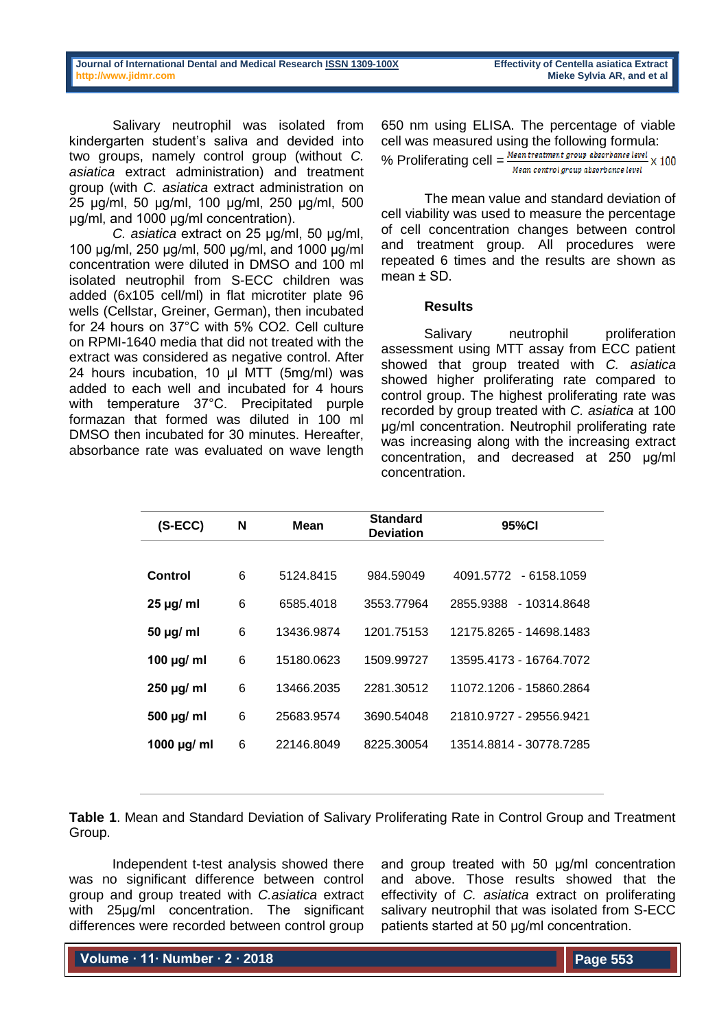| Journal of International Dental and Medical Research ISSN 1309-100X |  |  |  |
|---------------------------------------------------------------------|--|--|--|
| http://www.jidmr.com                                                |  |  |  |

Salivary neutrophil was isolated from kindergarten student's saliva and devided into two groups, namely control group (without *C. asiatica* extract administration) and treatment group (with *C. asiatica* extract administration on 25 μg/ml, 50 μg/ml, 100 μg/ml, 250 μg/ml, 500 μg/ml, and 1000 μg/ml concentration).

*C. asiatica* extract on 25 μg/ml, 50 μg/ml, 100 μg/ml, 250 μg/ml, 500 μg/ml, and 1000 μg/ml concentration were diluted in DMSO and 100 ml isolated neutrophil from S-ECC children was added (6x105 cell/ml) in flat microtiter plate 96 wells (Cellstar, Greiner, German), then incubated for 24 hours on 37°C with 5% CO2. Cell culture on RPMI-1640 media that did not treated with the extract was considered as negative control. After 24 hours incubation, 10 μl MTT (5mg/ml) was added to each well and incubated for 4 hours with temperature 37°C. Precipitated purple formazan that formed was diluted in 100 ml DMSO then incubated for 30 minutes. Hereafter, absorbance rate was evaluated on wave length

650 nm using ELISA. The percentage of viable cell was measured using the following formula: % Proliferating cell  $=$   $\frac{Mean\ treatment\ group\ absorbance\ level}{M\ H\ D} \times 100$ Mean control group absorbance level

The mean value and standard deviation of cell viability was used to measure the percentage of cell concentration changes between control and treatment group. All procedures were repeated 6 times and the results are shown as  $mean + SD$ 

### **Results**

Salivary neutrophil proliferation assessment using MTT assay from ECC patient showed that group treated with *C. asiatica* showed higher proliferating rate compared to control group. The highest proliferating rate was recorded by group treated with *C. asiatica* at 100 µg/ml concentration. Neutrophil proliferating rate was increasing along with the increasing extract concentration, and decreased at 250 µg/ml concentration.

| (S-ECC)          | N | Mean       | <b>Standard</b><br><b>Deviation</b> | 95%CI                     |  |
|------------------|---|------------|-------------------------------------|---------------------------|--|
|                  |   |            |                                     |                           |  |
| Control          | 6 | 5124.8415  | 984.59049                           | 4091.5772 - 6158.1059     |  |
| $25 \mu g$ ml    | 6 | 6585.4018  | 3553.77964                          | 2855.9388<br>- 10314.8648 |  |
| $50 \mu g$ ml    | 6 | 13436.9874 | 1201.75153                          | 12175 8265 - 14698 1483   |  |
| 100 $\mu$ g/ ml  | 6 | 15180.0623 | 1509.99727                          | 13595 4173 - 16764 7072   |  |
| $250 \mu g$ ml   | 6 | 13466.2035 | 2281.30512                          | 11072.1206 - 15860.2864   |  |
| $500 \mu g$ ml   | 6 | 25683.9574 | 3690.54048                          | 21810.9727 - 29556.9421   |  |
| 1000 $\mu$ g/ ml | 6 | 22146.8049 | 8225.30054                          | 13514.8814 - 30778.7285   |  |
|                  |   |            |                                     |                           |  |

**Table 1**. Mean and Standard Deviation of Salivary Proliferating Rate in Control Group and Treatment Group.

Independent t-test analysis showed there was no significant difference between control group and group treated with *C.asiatica* extract with 25µg/ml concentration. The significant differences were recorded between control group

and group treated with 50 µg/ml concentration and above. Those results showed that the effectivity of *C. asiatica* extract on proliferating salivary neutrophil that was isolated from S-ECC patients started at 50 µg/ml concentration.

**Volume ∙ 11∙ Number ∙ 2 ∙ 2018**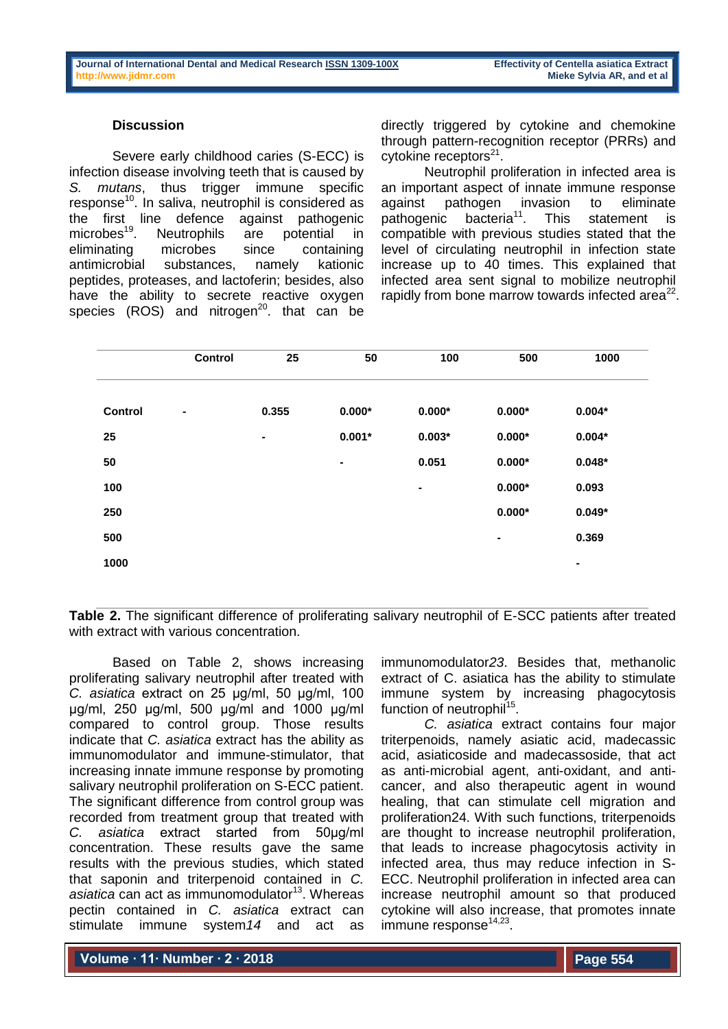### **Discussion**

Severe early childhood caries (S-ECC) is infection disease involving teeth that is caused by *S. mutans*, thus trigger immune specific response<sup>10</sup>. In saliva, neutrophil is considered as the first line defence against pathogenic microbes<sup>19</sup>. Neutrophils are potential in eliminating microbes since containing antimicrobial substances, namely kationic peptides, proteases, and lactoferin; besides, also have the ability to secrete reactive oxygen species  $(ROS)$  and nitrogen<sup>20</sup>. that can be

directly triggered by cytokine and chemokine through pattern-recognition receptor (PRRs) and cytokine receptors<sup>21</sup>.

Neutrophil proliferation in infected area is an important aspect of innate immune response against pathogen invasion to eliminate pathogenic bacteria<sup>11</sup>. This statement is compatible with previous studies stated that the level of circulating neutrophil in infection state increase up to 40 times. This explained that infected area sent signal to mobilize neutrophil rapidly from bone marrow towards infected area $^{22}$ .

|                | Control        | 25             | 50             | 100            | 500            | 1000           |
|----------------|----------------|----------------|----------------|----------------|----------------|----------------|
|                |                |                |                |                |                |                |
| <b>Control</b> | $\blacksquare$ | 0.355          | $0.000*$       | $0.000*$       | $0.000*$       | $0.004*$       |
| 25             |                | $\blacksquare$ | $0.001*$       | $0.003*$       | $0.000*$       | $0.004*$       |
| 50             |                |                | $\blacksquare$ | 0.051          | $0.000*$       | $0.048*$       |
| 100            |                |                |                | $\blacksquare$ | $0.000*$       | 0.093          |
| 250            |                |                |                |                | $0.000*$       | $0.049*$       |
| 500            |                |                |                |                | $\blacksquare$ | 0.369          |
| 1000           |                |                |                |                |                | $\blacksquare$ |

**Table 2.** The significant difference of proliferating salivary neutrophil of E-SCC patients after treated with extract with various concentration.

Based on Table 2, shows increasing proliferating salivary neutrophil after treated with *C. asiatica* extract on 25 µg/ml, 50 µg/ml, 100 µg/ml, 250 µg/ml, 500 µg/ml and 1000 µg/ml compared to control group. Those results indicate that *C. asiatica* extract has the ability as immunomodulator and immune-stimulator, that increasing innate immune response by promoting salivary neutrophil proliferation on S-ECC patient. The significant difference from control group was recorded from treatment group that treated with *C. asiatica* extract started from 50µg/ml concentration. These results gave the same results with the previous studies, which stated that saponin and triterpenoid contained in *C. asiatica* can act as immunomodulator<sup>13</sup>. Whereas pectin contained in *C. asiatica* extract can stimulate immune system*14* and act as

immunomodulator*23*. Besides that, methanolic extract of C. asiatica has the ability to stimulate immune system by increasing phagocytosis function of neutrophil<sup>15</sup>.

*C. asiatica* extract contains four major triterpenoids, namely asiatic acid, madecassic acid, asiaticoside and madecassoside, that act as anti-microbial agent, anti-oxidant, and anticancer, and also therapeutic agent in wound healing, that can stimulate cell migration and proliferation24. With such functions, triterpenoids are thought to increase neutrophil proliferation, that leads to increase phagocytosis activity in infected area, thus may reduce infection in S-ECC. Neutrophil proliferation in infected area can increase neutrophil amount so that produced cytokine will also increase, that promotes innate immune response<sup>14,23</sup>.

**Volume ∙ 11∙ Number ∙ 2 ∙ 2018**